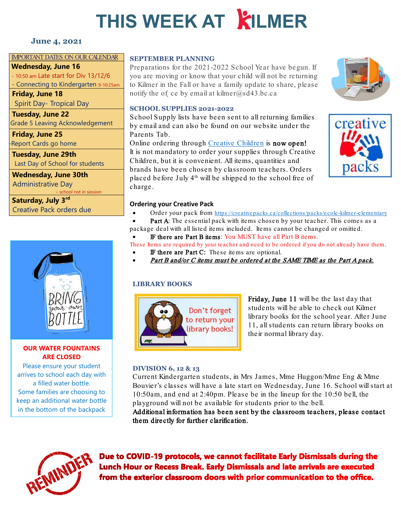# **THIS WEEK AT KILMER**

# **June 4, 2021**

#### IMPORTANT DATES ON OUR CALENDAR

**Wednesday, June 16**

- 10:50 am Late start for Div 13/12/6 - Connecting to Kindergarten 9-10:25am

**Friday, June 18**

Spirit Day- Tropical Day

**Tuesday, June 22** Grade 5 Leaving Acknowledgement

**Friday, June 25** Report Cards go home

**Tuesday, June 29th** Last Day of School for students

**Wednesday, June 30th** Administrative Day chool not in session

**Saturday, July 3rd** Creative Pack orders due



# **OUR WATER FOUNTAINS ARE CLOSED**

Please ensure your student arrives to school each day with a filled water bottle. Some families are choosing to keep an additional water bottle in the bottom of the backpack

#### **SEPTEMBER PLANNING**

Preparations for the 2021-2022 School Year have begun. If you are moving or know that your child will not be returning to Kilmer in the Fall or have a family update to share, please notify the of ce by email at kilmer@sd43.bc.ca

### **SCHOOL SUPPLIES 2021-2022**

School Supply lists have been sent to all returning families by email and can also be found on our website under the Parents Tab.

Online ordering through [Creative Children](https://creativepacks.ca/) is now open! It is not mandatory to order your supplies through Creative Children, but it is convenient. All items, quantities and brands have been chosen by classroom teachers. Orders placed before July 4th will be shipped to the school free of charge.





#### **Ordering your Creative Pack**

- Order your pack from<https://creativepacks.ca/collections/packs/ecole-kilmer-elementary>
- Part A: The essential pack with items chosen by your teacher. This comes as a
- package deal with all listed items included. Items cannot be changed or omitted. IF there are Part B items: You MUST have all Part B items.

These Items are required by your teacher and need to be ordered if you do not already have them.

- IF there are Part C: These items are optional.
- Part B and/or C items must be ordered at the SAME TIME as the Part A pack.

# **LIBRARY BOOKS**



Friday, June 11 will be the last day that students will be able to check out Kilmer library books for the school year. After June 11, all students can return library books on their normal library day.

#### **DIVISION 6, 12 & 13**

Current Kindergarten students, in Mrs James, Mme Huggon/Mme Eng & Mme Bouvier's classes will have a late start on Wednesday, June 16. School will start at 10:50am, and end at 2:40pm. Please be in the lineup for the 10:50 bell, the playground will not be available for students prior to the bell.

Additional information has been sent by the classroom teachers, please contact them directly for further clarification.



Due to COVID-19 protocols, we cannot facilitate Early Dismissals during the Lunch Hour or Recess Break. Early Dismissals and late arrivals are executed from the exterior classroom doors with prior communication to the office.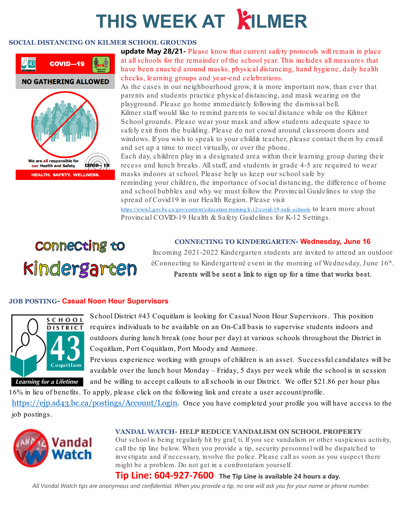# **THIS WEEK AT KILMER**

#### **SOCIAL DISTANCING ON KILMER SCHOOL GROUNDS**



**update May 28/21-** Please know that current safety protocols will remain in place at all schools for the remainder of the school year. This includes all measures that have been enacted around masks, physical distancing, hand hygiene, daily health checks, learning groups and year-end celebrations.

As the cases in our neighbourhood grow, it is more important now, than ever that parents and students practice physical distancing, and mask wearing on the playground. Please go home immediately following the dismissal bell. Kilmer staff would like to remind parents to social distance while on the Kilmer School grounds. Please wear your mask and allow students adequate space to safely exit from the building. Please do not crowd around classroom doors and windows. If you wish to speak to your childés teacher, please contact them by email and set up a time to meet virtually, or over the phone.

Each day, children play in a designated area within their learning group during their recess and lunch breaks. All staff, and students in grade 4-5 are required to wear masks indoors at school. Please help us keep our school safe by

reminding your children, the importance of social distancing, the difference of home and school bubbles and why we must follow the Provincial Guidelines to stop the spread of Covid19 in our Health Region. Please visit

[https://www2.gov.bc.ca/gov/content/education-training/k-12/covid-19-safe](https://www2.gov.bc.ca/gov/content/education-training/k-12/covid-19-safe-schools) -schools to learn more about [Provincial COVID-19 Health & Safety Guidelines for K-12 Settings.](https://www2.gov.bc.ca/assets/gov/education/administration/kindergarten-to-grade-12/safe-caring-orderly/k-12-covid-19-health-safety-guidlines.pdf) 

# **Connecting to** Kindergarten

#### **CONNECTING TO KINDERGARTEN- Wednesday, June 16**

Incoming 2021-2022 Kindergarten students are invited to attend an outdoor èConnecting to Kindergartenê event in the morning of Wednesday, June 16th. Parents will be sent a link to sign up for a time that works best.

# **JOB POSTING- Casual Noon Hour Supervisors**



School District #43 Coquitlam is looking for Casual Noon Hour Supervisors. This position requires individuals to be available on an On-Call basis to supervise students indoors and outdoors during lunch break (one hour per day) at various schools throughout the District in Coquitlam, Port Coquitlam, Port Moody and Anmore.

Previous experience working with groups of children is an asset. Successful candidates will be available over the lunch hour Monday – Friday, 5 days per week while the school is in session

and be willing to accept callouts to all schools in our District. We offer \$21.86 per hour plus

16% in lieu of benefits. To apply, please click on the following link and create a user account/profile.

[https://ejp.sd43.bc.ca/postings/Account/Login.](https://ejp.sd43.bc.ca/postings/Account/Login) Once you have completed your profile you will have access to the job postings.



#### **VANDAL WATCH- HELP REDUCE VANDALISM ON SCHOOL PROPERTY**

Our school is being regularly hit by graf ti. If you see vandalism or other suspicious activity, call the tip line below. When you provide a tip, security personnel will be dispatched to investigate and if necessary, involve the police. Please call as soon as you suspect there might be a problem. Do not get in a confrontation yourself.

**Tip Line: 604-927-7600 The Tip Line is available 24 hours a day.**

*All Vandal Watch tips are anonymous and confidential. When you provide a tip, no one will ask you for your name or phone number.*